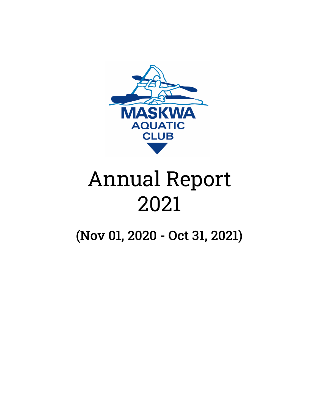

# Annual Report 2021

(Nov 01, 2020 - Oct 31, 2021)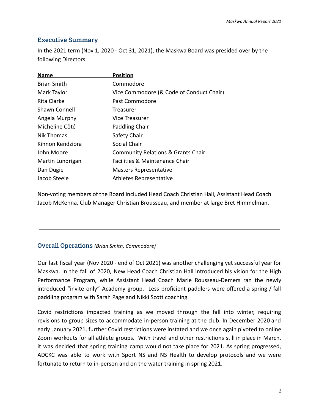## Executive Summary

In the 2021 term (Nov 1, 2020 - Oct 31, 2021), the Maskwa Board was presided over by the following Directors:

| <b>Name</b>          | <b>Position</b>                               |
|----------------------|-----------------------------------------------|
| <b>Brian Smith</b>   | Commodore                                     |
| Mark Taylor          | Vice Commodore (& Code of Conduct Chair)      |
| Rita Clarke          | Past Commodore                                |
| <b>Shawn Connell</b> | Treasurer                                     |
| Angela Murphy        | Vice Treasurer                                |
| Micheline Côté       | Paddling Chair                                |
| Nik Thomas           | Safety Chair                                  |
| Kinnon Kendziora     | Social Chair                                  |
| John Moore           | <b>Community Relations &amp; Grants Chair</b> |
| Martin Lundrigan     | Facilities & Maintenance Chair                |
| Dan Dugie            | <b>Masters Representative</b>                 |
| Jacob Steele         | Athletes Representative                       |
|                      |                                               |

Non-voting members of the Board included Head Coach Christian Hall, Assistant Head Coach Jacob McKenna, Club Manager Christian Brousseau, and member at large Bret Himmelman.

# Overall Operations *(Brian Smith, Commodore)*

Our last fiscal year (Nov 2020 - end of Oct 2021) was another challenging yet successful year for Maskwa. In the fall of 2020, New Head Coach Christian Hall introduced his vision for the High Performance Program, while Assistant Head Coach Marie Rousseau-Demers ran the newly introduced "invite only" Academy group. Less proficient paddlers were offered a spring / fall paddling program with Sarah Page and Nikki Scott coaching.

Covid restrictions impacted training as we moved through the fall into winter, requiring revisions to group sizes to accommodate in-person training at the club. In December 2020 and early January 2021, further Covid restrictions were instated and we once again pivoted to online Zoom workouts for all athlete groups. With travel and other restrictions still in place in March, it was decided that spring training camp would not take place for 2021. As spring progressed, ADCKC was able to work with Sport NS and NS Health to develop protocols and we were fortunate to return to in-person and on the water training in spring 2021.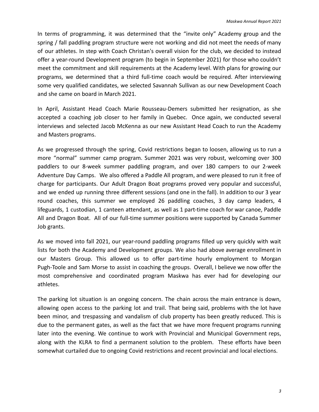In terms of programming, it was determined that the "invite only" Academy group and the spring / fall paddling program structure were not working and did not meet the needs of many of our athletes. In step with Coach Christan's overall vision for the club, we decided to instead offer a year-round Development program (to begin in September 2021) for those who couldn't meet the commitment and skill requirements at the Academy level. With plans for growing our programs, we determined that a third full-time coach would be required. After interviewing some very qualified candidates, we selected Savannah Sullivan as our new Development Coach and she came on board in March 2021.

In April, Assistant Head Coach Marie Rousseau-Demers submitted her resignation, as she accepted a coaching job closer to her family in Quebec. Once again, we conducted several interviews and selected Jacob McKenna as our new Assistant Head Coach to run the Academy and Masters programs.

As we progressed through the spring, Covid restrictions began to loosen, allowing us to run a more "normal" summer camp program. Summer 2021 was very robust, welcoming over 300 paddlers to our 8-week summer paddling program, and over 180 campers to our 2-week Adventure Day Camps. We also offered a Paddle All program, and were pleased to run it free of charge for participants. Our Adult Dragon Boat programs proved very popular and successful, and we ended up running three different sessions (and one in the fall). In addition to our 3 year round coaches, this summer we employed 26 paddling coaches, 3 day camp leaders, 4 lifeguards, 1 custodian, 1 canteen attendant, as well as 1 part-time coach for war canoe, Paddle All and Dragon Boat. All of our full-time summer positions were supported by Canada Summer Job grants.

As we moved into fall 2021, our year-round paddling programs filled up very quickly with wait lists for both the Academy and Development groups. We also had above average enrollment in our Masters Group. This allowed us to offer part-time hourly employment to Morgan Pugh-Toole and Sam Morse to assist in coaching the groups. Overall, I believe we now offer the most comprehensive and coordinated program Maskwa has ever had for developing our athletes.

The parking lot situation is an ongoing concern. The chain across the main entrance is down, allowing open access to the parking lot and trail. That being said, problems with the lot have been minor, and trespassing and vandalism of club property has been greatly reduced. This is due to the permanent gates, as well as the fact that we have more frequent programs running later into the evening. We continue to work with Provincial and Municipal Government reps, along with the KLRA to find a permanent solution to the problem. These efforts have been somewhat curtailed due to ongoing Covid restrictions and recent provincial and local elections.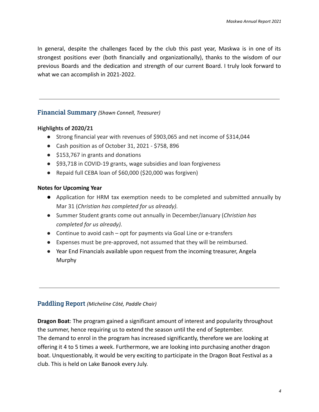In general, despite the challenges faced by the club this past year, Maskwa is in one of its strongest positions ever (both financially and organizationally), thanks to the wisdom of our previous Boards and the dedication and strength of our current Board. I truly look forward to what we can accomplish in 2021-2022.

## Financial Summary *(Shawn Connell, Treasurer)*

## **Highlights of 2020/21**

- Strong financial year with revenues of \$903,065 and net income of \$314,044
- Cash position as of October 31, 2021 \$758, 896
- \$153,767 in grants and donations
- \$93,718 in COVID-19 grants, wage subsidies and loan forgiveness
- Repaid full CEBA loan of \$60,000 (\$20,000 was forgiven)

## **Notes for Upcoming Year**

- Application for HRM tax exemption needs to be completed and submitted annually by Mar 31 (*Christian has completed for us already).*
- Summer Student grants come out annually in December/January (*Christian has completed for us already).*
- Continue to avoid cash opt for payments via Goal Line or e-transfers
- Expenses must be pre-approved, not assumed that they will be reimbursed.
- Year End Financials available upon request from the incoming treasurer, Angela Murphy

## Paddling Report *(Micheline Côté, Paddle Chair)*

**Dragon Boat**: The program gained a significant amount of interest and popularity throughout the summer, hence requiring us to extend the season until the end of September. The demand to enrol in the program has increased significantly, therefore we are looking at offering it 4 to 5 times a week. Furthermore, we are looking into purchasing another dragon boat. Unquestionably, it would be very exciting to participate in the Dragon Boat Festival as a club. This is held on Lake Banook every July.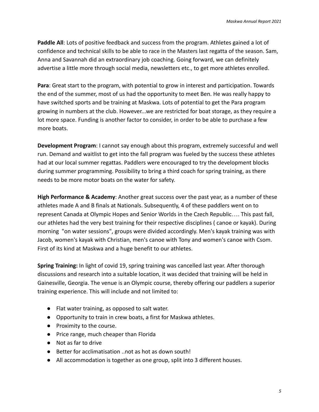Paddle All: Lots of positive feedback and success from the program. Athletes gained a lot of confidence and technical skills to be able to race in the Masters last regatta of the season. Sam, Anna and Savannah did an extraordinary job coaching. Going forward, we can definitely advertise a little more through social media, newsletters etc., to get more athletes enrolled.

**Para**: Great start to the program, with potential to grow in interest and participation. Towards the end of the summer, most of us had the opportunity to meet Ben. He was really happy to have switched sports and be training at Maskwa. Lots of potential to get the Para program growing in numbers at the club. However...we are restricted for boat storage, as they require a lot more space. Funding is another factor to consider, in order to be able to purchase a few more boats.

**Development Program**: I cannot say enough about this program, extremely successful and well run. Demand and waitlist to get into the fall program was fueled by the success these athletes had at our local summer regattas. Paddlers were encouraged to try the development blocks during summer programming. Possibility to bring a third coach for spring training, as there needs to be more motor boats on the water for safety.

**High Performance & Academy**: Another great success over the past year, as a number of these athletes made A and B finals at Nationals. Subsequently, 4 of these paddlers went on to represent Canada at Olympic Hopes and Senior Worlds in the Czech Republic…. This past fall, our athletes had the very best training for their respective disciplines ( canoe or kayak). During morning "on water sessions", groups were divided accordingly. Men's kayak training was with Jacob, women's kayak with Christian, men's canoe with Tony and women's canoe with Csom. First of its kind at Maskwa and a huge benefit to our athletes.

**Spring Training:** In light of covid 19, spring training was cancelled last year. After thorough discussions and research into a suitable location, it was decided that training will be held in Gainesville, Georgia. The venue is an Olympic course, thereby offering our paddlers a superior training experience. This will include and not limited to:

- Flat water training, as opposed to salt water.
- Opportunity to train in crew boats, a first for Maskwa athletes.
- Proximity to the course.
- Price range, much cheaper than Florida
- Not as far to drive
- Better for acclimatisation ..not as hot as down south!
- All accommodation is together as one group, split into 3 different houses.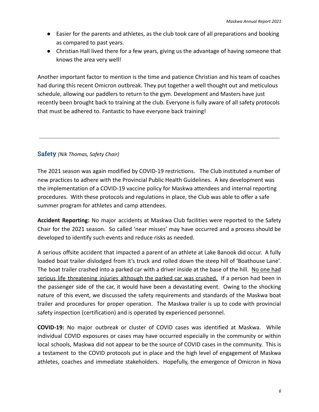- Easier for the parents and athletes, as the club took care of all preparations and booking as compared to past years.
- Christian Hall lived there for a few years, giving us the advantage of having someone that knows the area very well!

Another important factor to mention is the time and patience Christian and his team of coaches had during this recent Omicron outbreak. They put together a well thought out and meticulous schedule, allowing our paddlers to return to the gym. Development and Masters have just recently been brought back to training at the club. Everyone is fully aware of all safety protocols that must be adhered to. Fantastic to have everyone back training!

## Safety *(Nik Thomas, Safety Chair)*

The 2021 season was again modified by COVID-19 restrictions. The Club instituted a number of new practices to adhere with the Provincial Public Health Guidelines. A key development was the implementation of a COVID-19 vaccine policy for Maskwa attendees and internal reporting procedures. With these protocols and regulations in place, the Club was able to offer a safe summer program for athletes and camp attendees.

**Accident Reporting:** No major accidents at Maskwa Club facilities were reported to the Safety Chair for the 2021 season. So called 'near misses' may have occurred and a process should be developed to identify such events and reduce risks as needed.

A serious offsite accident that impacted a parent of an athlete at Lake Banook did occur. A fully loaded boat trailer dislodged from it's truck and rolled down the steep hill of 'Boathouse Lane'. The boat trailer crashed into a parked car with a driver inside at the base of the hill. No one had serious life threatening injuries although the parked car was crushed. If a person had been in the passenger side of the car, it would have been a devastating event. Owing to the shocking nature of this event, we discussed the safety requirements and standards of the Maskwa boat trailer and procedures for proper operation. The Maskwa trailer is up to code with provincial safety inspection (certification) and is operated by experienced personnel.

**COVID-19:** No major outbreak or cluster of COVID cases was identified at Maskwa. While individual COVID exposures or cases may have occurred especially in the community or within local schools, Maskwa did not appear to be the source of COVID cases in the community. This is a testament to the COVID protocols put in place and the high level of engagement of Maskwa athletes, coaches and immediate stakeholders. Hopefully, the emergence of Omicron in Nova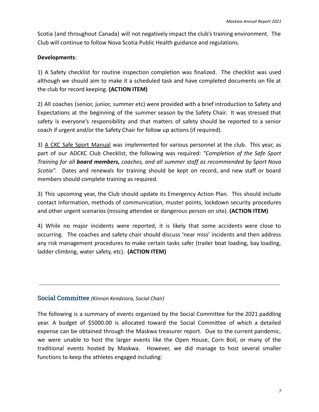Scotia (and throughout Canada) will not negatively impact the club's training environment. The Club will continue to follow Nova Scotia Public Health guidance and regulations.

#### **Developments**:

1) A Safety checklist for routine inspection completion was finalized. The checklist was used although we should aim to make it a scheduled task and have completed documents on file at the club for record keeping. **(ACTION ITEM)**

2) All coaches (senior, junior, summer etc) were provided with a brief introduction to Safety and Expectations at the beginning of the summer season by the Safety Chair. It was stressed that safety is everyone's responsibility and that matters of safety should be reported to a senior coach if urgent and/or the Safety Chair for follow up actions (if required).

3) A CKC Safe Sport Manual was implemented for various personnel at the club. This year, as part of our ADCKC Club Checklist, the following was required: *"Completion of the Safe Sport Training for all board members, coaches, and all summer staff as recommended by Sport Nova Scotia".* Dates and renewals for training should be kept on record, and new staff or board members should complete training as required.

3) This upcoming year, the Club should update its Emergency Action Plan. This should include contact information, methods of communication, muster points, lockdown security procedures and other urgent scenarios (missing attendee or dangerous person on site). **(ACTION ITEM)**

4) While no major incidents were reported, it is likely that some accidents were close to occurring. The coaches and safety chair should discuss 'near miss' incidents and then address any risk management procedures to make certain tasks safer (trailer boat loading, bay loading, ladder climbing, water safety, etc). **(ACTION ITEM)**

#### Social Committee *(Kinnon Kendziora, Social Chair)*

The following is a summary of events organized by the Social Committee for the 2021 paddling year. A budget of \$5000.00 is allocated toward the Social Committee of which a detailed expense can be obtained through the Maskwa treasurer report. Due to the current pandemic, we were unable to host the larger events like the Open House, Corn Boil, or many of the traditional events hosted by Maskwa. However, we did manage to host several smaller functions to keep the athletes engaged including: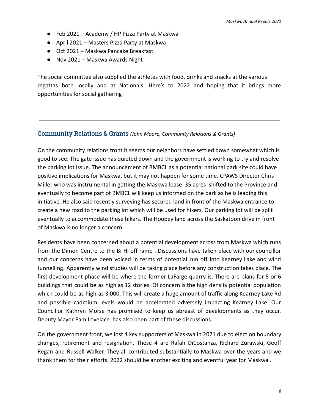- Feb 2021 Academy / HP Pizza Party at Maskwa
- April 2021 Masters Pizza Party at Maskwa
- Oct 2021 Maskwa Pancake Breakfast
- Nov 2021 Maskwa Awards Night

The social committee also supplied the athletes with food, drinks and snacks at the various regattas both locally and at Nationals. Here's to 2022 and hoping that it brings more opportunities for social gathering!

#### Community Relations & Grants *(John Moore, Community Relations & Grants)*

On the community relations front it seems our neighbors have settled down somewhat which is good to see. The gate issue has quieted down and the government is working to try and resolve the parking lot issue. The announcement of BMBCL as a potential national park site could have positive implications for Maskwa, but it may not happen for some time. CPAWS Director Chris Miller who was instrumental in getting the Maskwa lease 35 acres shifted to the Province and eventually to become part of BMBCL will keep us informed on the park as he is leading this initiative. He also said recently surveying has secured land in front of the Maskwa entrance to create a new road to the parking lot which will be used for hikers. Our parking lot will be split eventually to accommodate these hikers. The Hoopey land across the Saskatoon drive in front of Maskwa is no longer a concern.

Residents have been concerned about a potential development across from Maskwa which runs from the Dimon Centre to the Bi Hi off ramp . Discussions have taken place with our councillor and our concerns have been voiced in terms of potential run off into Kearney Lake and wind tunnelling. Apparently wind studies will be taking place before any construction takes place. The first development phase will be where the former LaFarge quarry is. There are plans for 5 or 6 buildings that could be as high as 12 stories. Of concern is the high density potential population which could be as high as 3,000. This will create a huge amount of traffic along Kearney Lake Rd and possible cadmium levels would be accelerated adversely impacting Kearney Lake. Our Councillor Kathryn Morse has promised to keep us abreast of developments as they occur. Deputy Mayor Pam Lovelace has also been part of these discussions.

On the government front, we lost 4 key supporters of Maskwa in 2021 due to election boundary changes, retirement and resignation. These 4 are Rafah DiCostanza, Richard Zurawski, Geoff Regan and Russell Walker. They all contributed substantially to Maskwa over the years and we thank them for their efforts. 2022 should be another exciting and eventful year for Maskwa .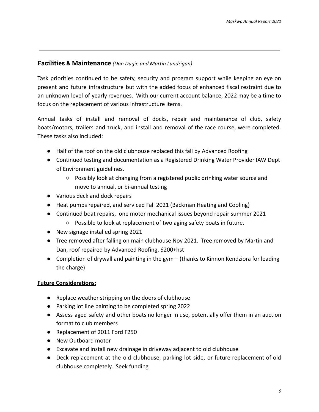## **Facilities & Maintenance** *(Dan Dugie and Martin Lundrigan)*

Task priorities continued to be safety, security and program support while keeping an eye on present and future infrastructure but with the added focus of enhanced fiscal restraint due to an unknown level of yearly revenues. With our current account balance, 2022 may be a time to focus on the replacement of various infrastructure items.

Annual tasks of install and removal of docks, repair and maintenance of club, safety boats/motors, trailers and truck, and install and removal of the race course, were completed. These tasks also included:

- Half of the roof on the old clubhouse replaced this fall by Advanced Roofing
- Continued testing and documentation as a Registered Drinking Water Provider IAW Dept of Environment guidelines.
	- Possibly look at changing from a registered public drinking water source and move to annual, or bi-annual testing
- Various deck and dock repairs
- Heat pumps repaired, and serviced Fall 2021 (Backman Heating and Cooling)
- Continued boat repairs, one motor mechanical issues beyond repair summer 2021
	- Possible to look at replacement of two aging safety boats in future.
- New signage installed spring 2021
- Tree removed after falling on main clubhouse Nov 2021. Tree removed by Martin and Dan, roof repaired by Advanced Roofing, \$200+hst
- Completion of drywall and painting in the gym (thanks to Kinnon Kendziora for leading the charge)

## **Future Considerations:**

- Replace weather stripping on the doors of clubhouse
- Parking lot line painting to be completed spring 2022
- Assess aged safety and other boats no longer in use, potentially offer them in an auction format to club members
- Replacement of 2011 Ford F250
- New Outboard motor
- Excavate and install new drainage in driveway adjacent to old clubhouse
- Deck replacement at the old clubhouse, parking lot side, or future replacement of old clubhouse completely. Seek funding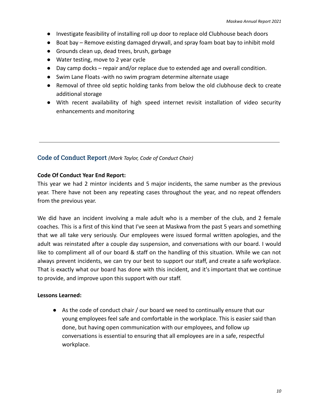- Investigate feasibility of installing roll up door to replace old Clubhouse beach doors
- Boat bay Remove existing damaged drywall, and spray foam boat bay to inhibit mold
- Grounds clean up, dead trees, brush, garbage
- Water testing, move to 2 year cycle
- Day camp docks repair and/or replace due to extended age and overall condition.
- Swim Lane Floats -with no swim program determine alternate usage
- Removal of three old septic holding tanks from below the old clubhouse deck to create additional storage
- With recent availability of high speed internet revisit installation of video security enhancements and monitoring

## Code of Conduct Report *(Mark Taylor, Code of Conduct Chair)*

#### **Code Of Conduct Year End Report:**

This year we had 2 mintor incidents and 5 major incidents, the same number as the previous year. There have not been any repeating cases throughout the year, and no repeat offenders from the previous year.

We did have an incident involving a male adult who is a member of the club, and 2 female coaches. This is a first of this kind that I've seen at Maskwa from the past 5 years and something that we all take very seriously. Our employees were issued formal written apologies, and the adult was reinstated after a couple day suspension, and conversations with our board. I would like to compliment all of our board & staff on the handling of this situation. While we can not always prevent incidents, we can try our best to support our staff, and create a safe workplace. That is exactly what our board has done with this incident, and it's important that we continue to provide, and improve upon this support with our staff.

#### **Lessons Learned:**

● As the code of conduct chair / our board we need to continually ensure that our young employees feel safe and comfortable in the workplace. This is easier said than done, but having open communication with our employees, and follow up conversations is essential to ensuring that all employees are in a safe, respectful workplace.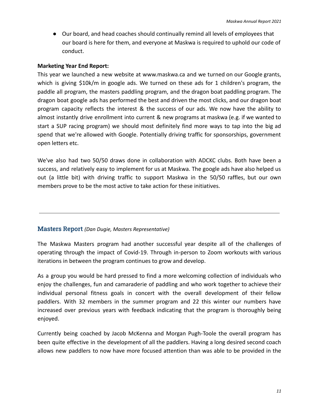● Our board, and head coaches should continually remind all levels of employees that our board is here for them, and everyone at Maskwa is required to uphold our code of conduct.

#### **Marketing Year End Report:**

This year we launched a new website at www.maskwa.ca and we turned on our Google grants, which is giving \$10k/m in google ads. We turned on these ads for 1 children's program, the paddle all program, the masters paddling program, and the dragon boat paddling program. The dragon boat google ads has performed the best and driven the most clicks, and our dragon boat program capacity reflects the interest & the success of our ads. We now have the ability to almost instantly drive enrollment into current & new programs at maskwa (e.g. if we wanted to start a SUP racing program) we should most definitely find more ways to tap into the big ad spend that we're allowed with Google. Potentially driving traffic for sponsorships, government open letters etc.

We've also had two 50/50 draws done in collaboration with ADCKC clubs. Both have been a success, and relatively easy to implement for us at Maskwa. The google ads have also helped us out (a little bit) with driving traffic to support Maskwa in the 50/50 raffles, but our own members prove to be the most active to take action for these initiatives.

#### Masters Report *(Dan Dugie, Masters Representative)*

The Maskwa Masters program had another successful year despite all of the challenges of operating through the impact of Covid-19. Through in-person to Zoom workouts with various iterations in between the program continues to grow and develop.

As a group you would be hard pressed to find a more welcoming collection of individuals who enjoy the challenges, fun and camaraderie of paddling and who work together to achieve their individual personal fitness goals in concert with the overall development of their fellow paddlers. With 32 members in the summer program and 22 this winter our numbers have increased over previous years with feedback indicating that the program is thoroughly being enjoyed.

Currently being coached by Jacob McKenna and Morgan Pugh-Toole the overall program has been quite effective in the development of all the paddlers. Having a long desired second coach allows new paddlers to now have more focused attention than was able to be provided in the